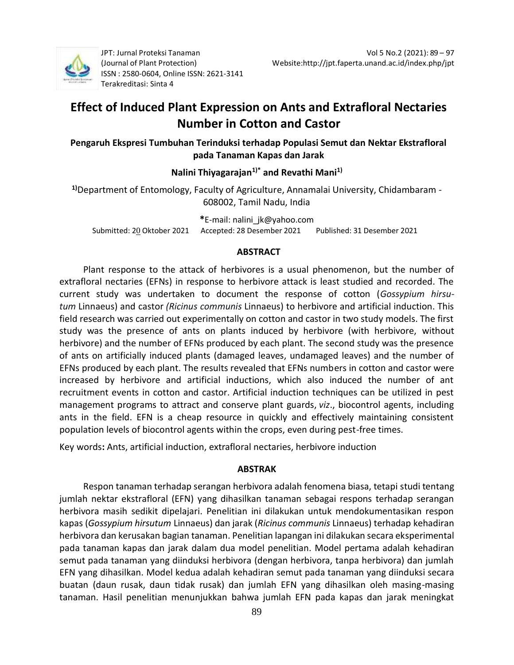

JPT: Jurnal Proteksi Tanaman (Journal of Plant Protection) ISSN : 2580-0604, Online ISSN[: 2621-3141](about:blank) Terakreditasi: Sinta 4

# **Effect of Induced Plant Expression on Ants and Extrafloral Nectaries Number in Cotton and Castor**

**Pengaruh Ekspresi Tumbuhan Terinduksi terhadap Populasi Semut dan Nektar Ekstrafloral pada Tanaman Kapas dan Jarak**

# **Nalini Thiyagarajan1)\* and Revathi Mani1)**

**1)**Department of Entomology, Faculty of Agriculture, Annamalai University, Chidambaram - 608002, Tamil Nadu, India

**\***E-mail: [nalini\\_jk@yahoo.com](about:blank) Submitted: 20 Oktober 2021 Accepted: 28 Desember 2021 Published: 31 Desember 2021

## **ABSTRACT**

Plant response to the attack of herbivores is a usual phenomenon, but the number of extrafloral nectaries (EFNs) in response to herbivore attack is least studied and recorded. The current study was undertaken to document the response of cotton (*Gossypium hirsutum* Linnaeus) and castor *(Ricinus communis* Linnaeus) to herbivore and artificial induction. This field research was carried out experimentally on cotton and castor in two study models. The first study was the presence of ants on plants induced by herbivore (with herbivore, without herbivore) and the number of EFNs produced by each plant. The second study was the presence of ants on artificially induced plants (damaged leaves, undamaged leaves) and the number of EFNs produced by each plant. The results revealed that EFNs numbers in cotton and castor were increased by herbivore and artificial inductions, which also induced the number of ant recruitment events in cotton and castor. Artificial induction techniques can be utilized in pest management programs to attract and conserve plant guards, *viz*., biocontrol agents, including ants in the field. EFN is a cheap resource in quickly and effectively maintaining consistent population levels of biocontrol agents within the crops, even during pest-free times.

Key words**:** Ants, artificial induction, extrafloral nectaries, herbivore induction

## **ABSTRAK**

Respon tanaman terhadap serangan herbivora adalah fenomena biasa, tetapi studi tentang jumlah nektar ekstrafloral (EFN) yang dihasilkan tanaman sebagai respons terhadap serangan herbivora masih sedikit dipelajari. Penelitian ini dilakukan untuk mendokumentasikan respon kapas (*Gossypium hirsutum* Linnaeus) dan jarak (*Ricinus communis* Linnaeus) terhadap kehadiran herbivora dan kerusakan bagian tanaman. Penelitian lapangan ini dilakukan secara eksperimental pada tanaman kapas dan jarak dalam dua model penelitian. Model pertama adalah kehadiran semut pada tanaman yang diinduksi herbivora (dengan herbivora, tanpa herbivora) dan jumlah EFN yang dihasilkan. Model kedua adalah kehadiran semut pada tanaman yang diinduksi secara buatan (daun rusak, daun tidak rusak) dan jumlah EFN yang dihasilkan oleh masing-masing tanaman. Hasil penelitian menunjukkan bahwa jumlah EFN pada kapas dan jarak meningkat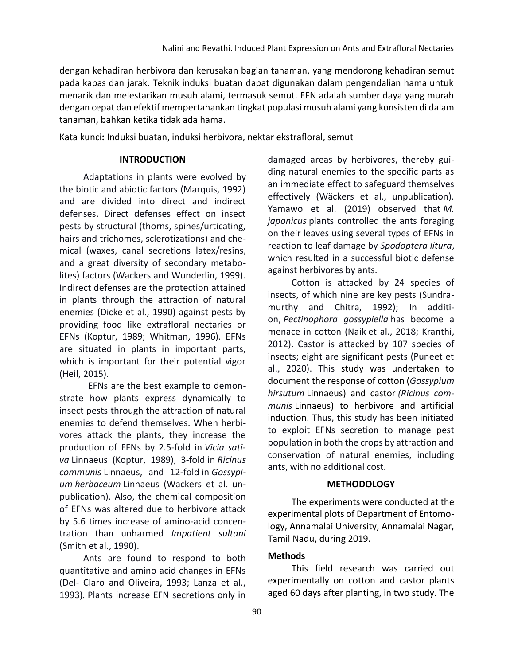dengan kehadiran herbivora dan kerusakan bagian tanaman, yang mendorong kehadiran semut pada kapas dan jarak. Teknik induksi buatan dapat digunakan dalam pengendalian hama untuk menarik dan melestarikan musuh alami, termasuk semut. EFN adalah sumber daya yang murah dengan cepat dan efektif mempertahankan tingkat populasi musuh alami yang konsisten di dalam tanaman, bahkan ketika tidak ada hama.

Kata kunci**:** Induksi buatan, induksi herbivora, nektar ekstrafloral, semut

#### **INTRODUCTION**

Adaptations in plants were evolved by the biotic and abiotic factors (Marquis, 1992) and are divided into direct and indirect defenses. Direct defenses effect on insect pests by structural (thorns, spines/urticating, hairs and trichomes, sclerotizations) and chemical (waxes, canal secretions latex/resins, and a great diversity of secondary metabolites) factors (Wackers and Wunderlin, 1999). Indirect defenses are the protection attained in plants through the attraction of natural enemies (Dicke et al., 1990) against pests by providing food like extrafloral nectaries or EFNs (Koptur, 1989; Whitman, 1996). EFNs are situated in plants in important parts, which is important for their potential vigor (Heil, 2015).

 EFNs are the best example to demonstrate how plants express dynamically to insect pests through the attraction of natural enemies to defend themselves. When herbivores attack the plants, they increase the production of EFNs by 2.5-fold in *Vicia sativa* Linnaeus (Koptur, 1989), 3-fold in *Ricinus communis* Linnaeus, and 12-fold in *Gossypium herbaceum* Linnaeus (Wackers et al. unpublication). Also, the chemical composition of EFNs was altered due to herbivore attack by 5.6 times increase of amino-acid concentration than unharmed *Impatient sultani* (Smith et al., 1990).

Ants are found to respond to both quantitative and amino acid changes in EFNs (Del- Claro and Oliveira, 1993; Lanza et al., 1993)*.* Plants increase EFN secretions only in

damaged areas by herbivores, thereby guiding natural enemies to the specific parts as an immediate effect to safeguard themselves effectively (Wäckers et al., unpublication). Yamawo et al. (2019) observed that *M. japonicus* plants controlled the ants foraging on their leaves using several types of EFNs in reaction to leaf damage by *Spodoptera litura*, which resulted in a successful biotic defense against herbivores by ants.

Cotton is attacked by 24 species of insects, of which nine are key pests (Sundramurthy and Chitra, 1992); In addition, *Pectinophora gossypiella* has become a menace in cotton (Naik et al., 2018; Kranthi, 2012). Castor is attacked by 107 species of insects; eight are significant pests (Puneet et al., 2020). This study was undertaken to document the response of cotton (*Gossypium hirsutum* Linnaeus) and castor *(Ricinus communis* Linnaeus) to herbivore and artificial induction. Thus, this study has been initiated to exploit EFNs secretion to manage pest population in both the crops by attraction and conservation of natural enemies, including ants, with no additional cost.

#### **METHODOLOGY**

The experiments were conducted at the experimental plots of Department of Entomology, Annamalai University, Annamalai Nagar, Tamil Nadu, during 2019.

## **Methods**

This field research was carried out experimentally on cotton and castor plants aged 60 days after planting, in two study. The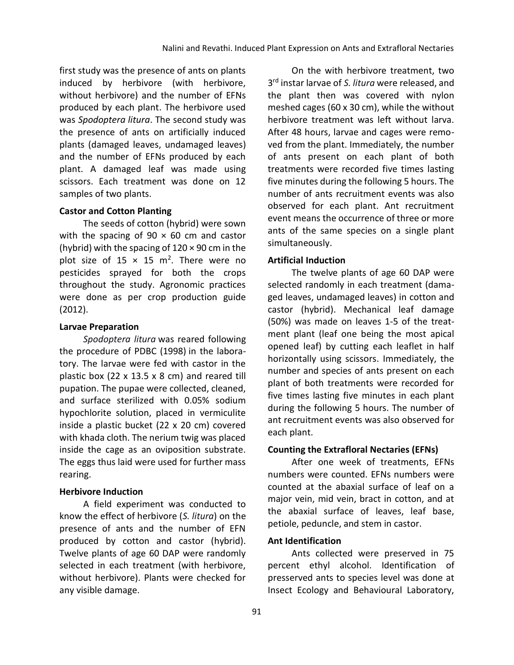first study was the presence of ants on plants induced by herbivore (with herbivore, without herbivore) and the number of EFNs produced by each plant. The herbivore used was *Spodoptera litura*. The second study was the presence of ants on artificially induced plants (damaged leaves, undamaged leaves) and the number of EFNs produced by each plant. A damaged leaf was made using scissors. Each treatment was done on 12 samples of two plants.

#### **Castor and Cotton Planting**

The seeds of cotton (hybrid) were sown with the spacing of  $90 \times 60$  cm and castor (hybrid) with the spacing of  $120 \times 90$  cm in the plot size of  $15 \times 15$  m<sup>2</sup>. There were no pesticides sprayed for both the crops throughout the study. Agronomic practices were done as per crop production guide (2012).

#### **Larvae Preparation**

*Spodoptera litura* was reared following the procedure of [PDBC \(1998\)](#page-8-0) in the laboratory. The larvae were fed with castor in the plastic box (22 x 13.5 x 8 cm) and reared till pupation. The pupae were collected, cleaned, and surface sterilized with 0.05% sodium hypochlorite solution, placed in vermiculite inside a plastic bucket (22 x 20 cm) covered with khada cloth. The nerium twig was placed inside the cage as an oviposition substrate. The eggs thus laid were used for further mass rearing.

## **Herbivore Induction**

A field experiment was conducted to know the effect of herbivore (*S. litura*) on the presence of ants and the number of EFN produced by cotton and castor (hybrid). Twelve plants of age 60 DAP were randomly selected in each treatment (with herbivore, without herbivore). Plants were checked for any visible damage.

On the with herbivore treatment, two 3 rd instar larvae of *S. litura* were released, and the plant then was covered with nylon meshed cages (60 x 30 cm), while the without herbivore treatment was left without larva. After 48 hours, larvae and cages were removed from the plant. Immediately, the number of ants present on each plant of both treatments were recorded five times lasting five minutes during the following 5 hours. The number of ants recruitment events was also observed for each plant. Ant recruitment event means the occurrence of three or more ants of the same species on a single plant simultaneously.

## **Artificial Induction**

The twelve plants of age 60 DAP were selected randomly in each treatment (damaged leaves, undamaged leaves) in cotton and castor (hybrid). Mechanical leaf damage (50%) was made on leaves 1-5 of the treatment plant (leaf one being the most apical opened leaf) by cutting each leaflet in half horizontally using scissors. Immediately, the number and species of ants present on each plant of both treatments were recorded for five times lasting five minutes in each plant during the following 5 hours. The number of ant recruitment events was also observed for each plant.

## **Counting the Extrafloral Nectaries (EFNs)**

After one week of treatments, EFNs numbers were counted. EFNs numbers were counted at the abaxial surface of leaf on a major vein, mid vein, bract in cotton, and at the abaxial surface of leaves, leaf base, petiole, peduncle, and stem in castor.

## **Ant Identification**

Ants collected were preserved in 75 percent ethyl alcohol. Identification of presserved ants to species level was done at Insect Ecology and Behavioural Laboratory,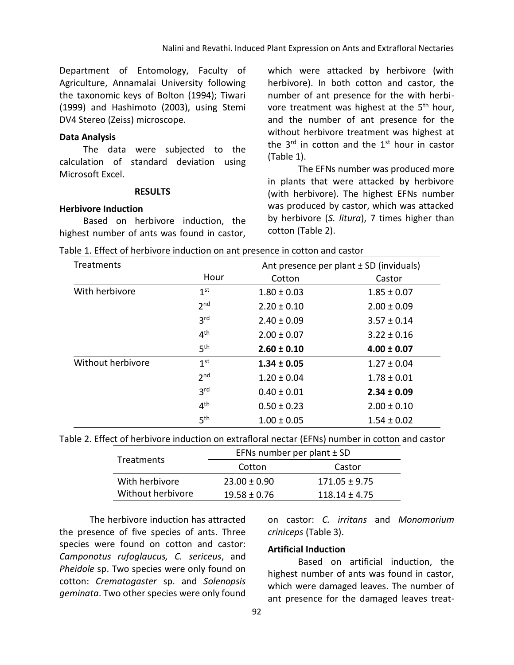Department of Entomology, Faculty of Agriculture, Annamalai University following the taxonomic keys of Bolton (1994); Tiwari (1999) and Hashimoto (2003), using Stemi DV4 Stereo (Zeiss) microscope.

#### **Data Analysis**

The data were subjected to the calculation of standard deviation using Microsoft Excel.

#### **RESULTS**

#### **Herbivore Induction**

Based on herbivore induction, the highest number of ants was found in castor,

which were attacked by herbivore (with herbivore). In both cotton and castor, the number of ant presence for the with herbivore treatment was highest at the 5<sup>th</sup> hour, and the number of ant presence for the without herbivore treatment was highest at the  $3<sup>rd</sup>$  in cotton and the  $1<sup>st</sup>$  hour in castor (Table 1).

The EFNs number was produced more in plants that were attacked by herbivore (with herbivore). The highest EFNs number was produced by castor, which was attacked by herbivore (*S. litura*), 7 times higher than cotton (Table 2).

|  |  | Table 1. Effect of herbivore induction on ant presence in cotton and castor |  |  |  |  |  |  |  |
|--|--|-----------------------------------------------------------------------------|--|--|--|--|--|--|--|
|--|--|-----------------------------------------------------------------------------|--|--|--|--|--|--|--|

| Treatments        |                 | Ant presence per plant $\pm$ SD (inviduals) |                 |  |  |
|-------------------|-----------------|---------------------------------------------|-----------------|--|--|
|                   | Hour            | Cotton                                      | Castor          |  |  |
| With herbivore    | 1 <sup>st</sup> | $1.80 \pm 0.03$                             | $1.85 \pm 0.07$ |  |  |
|                   | 2 <sub>nd</sub> | $2.20 \pm 0.10$                             | $2.00 \pm 0.09$ |  |  |
|                   | 3 <sup>rd</sup> | $2.40 \pm 0.09$                             | $3.57 \pm 0.14$ |  |  |
|                   | 4 <sup>th</sup> | $2.00 \pm 0.07$                             | $3.22 \pm 0.16$ |  |  |
|                   | 5 <sup>th</sup> | $2.60 \pm 0.10$                             | $4.00 \pm 0.07$ |  |  |
| Without herbivore | 1 <sup>st</sup> | $1.34 \pm 0.05$                             | $1.27 \pm 0.04$ |  |  |
|                   | 2 <sub>nd</sub> | $1.20 \pm 0.04$                             | $1.78 \pm 0.01$ |  |  |
|                   | 3 <sup>rd</sup> | $0.40 \pm 0.01$                             | $2.34 \pm 0.09$ |  |  |
|                   | 4 <sup>th</sup> | $0.50 \pm 0.23$                             | $2.00 \pm 0.10$ |  |  |
|                   | 5 <sup>th</sup> | $1.00 \pm 0.05$                             | $1.54 \pm 0.02$ |  |  |

Table 2. Effect of herbivore induction on extrafloral nectar (EFNs) number in cotton and castor

| <b>Treatments</b> | EFNs number per plant $\pm$ SD |                   |  |  |
|-------------------|--------------------------------|-------------------|--|--|
|                   | Cotton                         | Castor            |  |  |
| With herbivore    | $23.00 \pm 0.90$               | $171.05 \pm 9.75$ |  |  |
| Without herbivore | $19.58 \pm 0.76$               | $118.14 \pm 4.75$ |  |  |

The herbivore induction has attracted the presence of five species of ants. Three species were found on cotton and castor: *Camponotus rufoglaucus, C. sericeus*, and *Pheidole* sp. Two species were only found on cotton: *Crematogaster* sp. and *Solenopsis geminata*. Two other species were only found

on castor: *C. irritans* and *Monomorium criniceps* (Table 3).

#### **Artificial Induction**

Based on artificial induction, the highest number of ants was found in castor, which were damaged leaves. The number of ant presence for the damaged leaves treat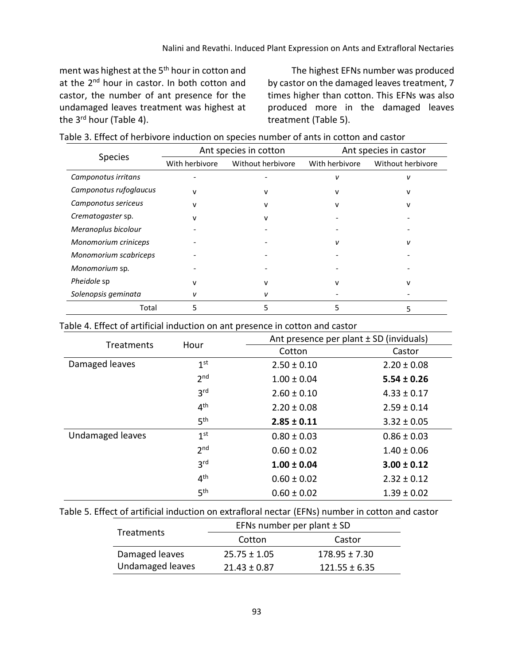ment was highest at the 5<sup>th</sup> hour in cotton and at the 2<sup>nd</sup> hour in castor. In both cotton and castor, the number of ant presence for the undamaged leaves treatment was highest at the 3<sup>rd</sup> hour (Table 4).

The highest EFNs number was produced by castor on the damaged leaves treatment, 7 times higher than cotton. This EFNs was also produced more in the damaged leaves treatment (Table 5).

|                        |                | Ant species in cotton | Ant species in castor |                   |  |
|------------------------|----------------|-----------------------|-----------------------|-------------------|--|
| <b>Species</b>         | With herbivore | Without herbivore     | With herbivore        | Without herbivore |  |
| Camponotus irritans    |                |                       | v                     | ν                 |  |
| Camponotus rufoglaucus | $\mathbf{v}$   | v                     | v                     | v                 |  |
| Camponotus sericeus    | $\mathbf{v}$   | $\mathsf{v}$          | v                     | v                 |  |
| Crematogaster sp.      |                | $\mathsf{v}$          |                       |                   |  |
| Meranoplus bicolour    |                |                       |                       |                   |  |
| Monomorium criniceps   |                |                       | ν                     | v                 |  |
| Monomorium scabriceps  |                |                       |                       |                   |  |
| Monomorium sp.         |                |                       |                       |                   |  |
| Pheidole sp            | v              | $\mathsf{v}$          | v                     | v                 |  |
| Solenopsis geminata    |                | ν                     |                       |                   |  |
| Total                  | 5              | 5                     | 5                     |                   |  |

#### Table 4. Effect of artificial induction on ant presence in cotton and castor

| Treatments       | Hour            | Ant presence per plant ± SD (inviduals) |                 |  |
|------------------|-----------------|-----------------------------------------|-----------------|--|
|                  |                 | Cotton                                  | Castor          |  |
| Damaged leaves   | 1 <sup>st</sup> | $2.50 \pm 0.10$                         | $2.20 \pm 0.08$ |  |
|                  | 2 <sub>nd</sub> | $1.00 \pm 0.04$                         | $5.54 \pm 0.26$ |  |
|                  | 3 <sup>rd</sup> | $2.60 \pm 0.10$                         | $4.33 \pm 0.17$ |  |
|                  | 4 <sup>th</sup> | $2.20 \pm 0.08$                         | $2.59 \pm 0.14$ |  |
|                  | 5 <sup>th</sup> | $2.85 \pm 0.11$                         | $3.32 \pm 0.05$ |  |
| Undamaged leaves | 1 <sup>st</sup> | $0.80 \pm 0.03$                         | $0.86 \pm 0.03$ |  |
|                  | 2 <sub>nd</sub> | $0.60 \pm 0.02$                         | $1.40 \pm 0.06$ |  |
|                  | 3 <sup>rd</sup> | $1.00 \pm 0.04$                         | $3.00 \pm 0.12$ |  |
|                  | 4 <sup>th</sup> | $0.60 \pm 0.02$                         | $2.32 \pm 0.12$ |  |
|                  | 5 <sup>th</sup> | $0.60 \pm 0.02$                         | $1.39 \pm 0.02$ |  |

#### Table 5. Effect of artificial induction on extrafloral nectar (EFNs) number in cotton and castor

| <b>Treatments</b> | EFNs number per plant $\pm$ SD |                   |  |  |
|-------------------|--------------------------------|-------------------|--|--|
|                   | Cotton                         | Castor            |  |  |
| Damaged leaves    | $25.75 \pm 1.05$               | $178.95 \pm 7.30$ |  |  |
| Undamaged leaves  | $21.43 \pm 0.87$               | $121.55 \pm 6.35$ |  |  |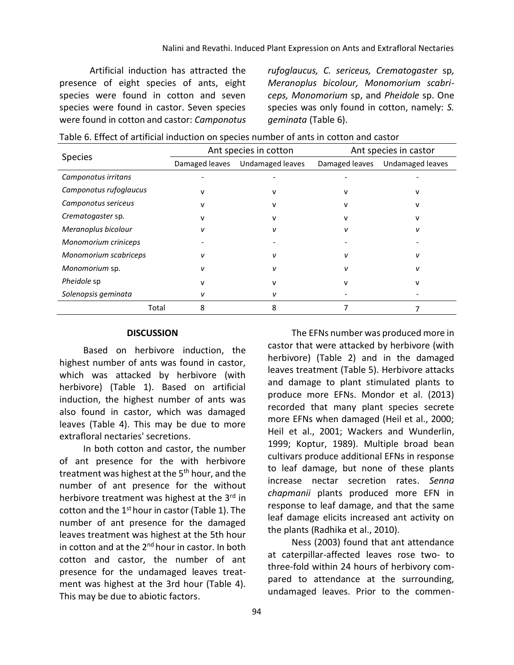Artificial induction has attracted the presence of eight species of ants, eight species were found in cotton and seven species were found in castor. Seven species were found in cotton and castor: *Camponotus*  *rufoglaucus, C. sericeus, Crematogaster* sp*, Meranoplus bicolour, Monomorium scabriceps, Monomorium* sp, and *Pheidole* sp. One species was only found in cotton, namely: *S. geminata* (Table 6).

| Species                |                | Ant species in cotton   | Ant species in castor |                  |  |
|------------------------|----------------|-------------------------|-----------------------|------------------|--|
|                        | Damaged leaves | <b>Undamaged leaves</b> | Damaged leaves        | Undamaged leaves |  |
| Camponotus irritans    |                |                         |                       |                  |  |
| Camponotus rufoglaucus |                |                         |                       |                  |  |
| Camponotus sericeus    |                |                         |                       |                  |  |
| Crematogaster sp.      |                |                         |                       |                  |  |
| Meranoplus bicolour    |                |                         |                       |                  |  |
| Monomorium criniceps   |                |                         |                       |                  |  |
| Monomorium scabriceps  | ν              | ν                       |                       | ν                |  |
| Monomorium sp.         |                |                         |                       |                  |  |
| Pheidole sp            |                |                         |                       |                  |  |
| Solenopsis geminata    |                | ν                       |                       |                  |  |
| Total                  | 8              | 8                       |                       |                  |  |

#### **DISCUSSION**

Based on herbivore induction, the highest number of ants was found in castor, which was attacked by herbivore (with herbivore) (Table 1). Based on artificial induction, the highest number of ants was also found in castor, which was damaged leaves (Table 4). This may be due to more extrafloral nectaries' secretions.

In both cotton and castor, the number of ant presence for the with herbivore treatment was highest at the  $5<sup>th</sup>$  hour, and the number of ant presence for the without herbivore treatment was highest at the 3<sup>rd</sup> in cotton and the  $1<sup>st</sup>$  hour in castor (Table 1). The number of ant presence for the damaged leaves treatment was highest at the 5th hour in cotton and at the  $2<sup>nd</sup>$  hour in castor. In both cotton and castor, the number of ant presence for the undamaged leaves treatment was highest at the 3rd hour (Table 4). This may be due to abiotic factors.

castor that were attacked by herbivore (with herbivore) (Table 2) and in the damaged leaves treatment (Table 5). Herbivore attacks and damage to plant stimulated plants to produce more EFNs. Mondor et al. (2013) recorded that many plant species secrete more EFNs when damaged (Heil et al., 2000; Heil et al., 2001; Wackers and Wunderlin, 1999; Koptur, 1989). Multiple broad bean cultivars produce additional EFNs in response to leaf damage, but none of these plants increase nectar secretion rates. *Senna chapmanii* plants produced more EFN in response to leaf damage, and that the same leaf damage elicits increased ant activity on the plants (Radhika et al., 2010).

The EFNs number was produced more in

Ness (2003) found that ant attendance at caterpillar-affected leaves rose two- to three-fold within 24 hours of herbivory compared to attendance at the surrounding, undamaged leaves. Prior to the commen-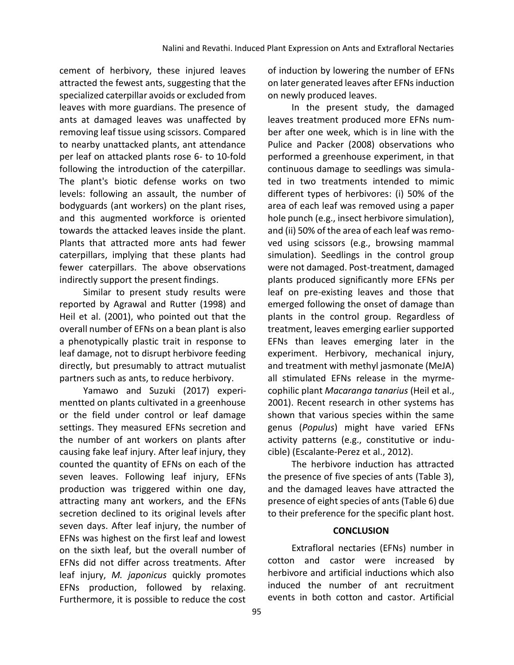cement of herbivory, these injured leaves attracted the fewest ants, suggesting that the specialized caterpillar avoids or excluded from leaves with more guardians. The presence of ants at damaged leaves was unaffected by removing leaf tissue using scissors. Compared to nearby unattacked plants, ant attendance per leaf on attacked plants rose 6- to 10-fold following the introduction of the caterpillar. The plant's biotic defense works on two levels: following an assault, the number of bodyguards (ant workers) on the plant rises, and this augmented workforce is oriented towards the attacked leaves inside the plant. Plants that attracted more ants had fewer caterpillars, implying that these plants had fewer caterpillars. The above observations indirectly support the present findings.

Similar to present study results were reported by Agrawal and Rutter (1998) and Heil et al. (2001), who pointed out that the overall number of EFNs on a bean plant is also a phenotypically plastic trait in response to leaf damage, not to disrupt herbivore feeding directly, but presumably to attract mutualist partners such as ants, to reduce herbivory.

Yamawo and Suzuki (2017) experimentted on plants cultivated in a greenhouse or the field under control or leaf damage settings. They measured EFNs secretion and the number of ant workers on plants after causing fake leaf injury. After leaf injury, they counted the quantity of EFNs on each of the seven leaves. Following leaf injury, EFNs production was triggered within one day, attracting many ant workers, and the EFNs secretion declined to its original levels after seven days. After leaf injury, the number of EFNs was highest on the first leaf and lowest on the sixth leaf, but the overall number of EFNs did not differ across treatments. After leaf injury, *M. japonicus* quickly promotes EFNs production, followed by relaxing. Furthermore, it is possible to reduce the cost of induction by lowering the number of EFNs on later generated leaves after EFNs induction on newly produced leaves.

In the present study, the damaged leaves treatment produced more EFNs number after one week, which is in line with the Pulice and Packer (2008) observations who performed a greenhouse experiment, in that continuous damage to seedlings was simulated in two treatments intended to mimic different types of herbivores: (i) 50% of the area of each leaf was removed using a paper hole punch (e.g., insect herbivore simulation), and (ii) 50% of the area of each leaf was removed using scissors (e.g., browsing mammal simulation). Seedlings in the control group were not damaged. Post-treatment, damaged plants produced significantly more EFNs per leaf on pre-existing leaves and those that emerged following the onset of damage than plants in the control group. Regardless of treatment, leaves emerging earlier supported EFNs than leaves emerging later in the experiment. Herbivory, mechanical injury, and treatment with methyl jasmonate (MeJA) all stimulated EFNs release in the myrmecophilic plant *Macaranga tanarius* (Heil et al., 2001). Recent research in other systems has shown that various species within the same genus (*Populus*) might have varied EFNs activity patterns (e.g., constitutive or inducible) (Escalante-Perez et al., 2012).

The herbivore induction has attracted the presence of five species of ants (Table 3), and the damaged leaves have attracted the presence of eight species of ants (Table 6) due to their preference for the specific plant host.

## **CONCLUSION**

Extrafloral nectaries (EFNs) number in cotton and castor were increased by herbivore and artificial inductions which also induced the number of ant recruitment events in both cotton and castor. Artificial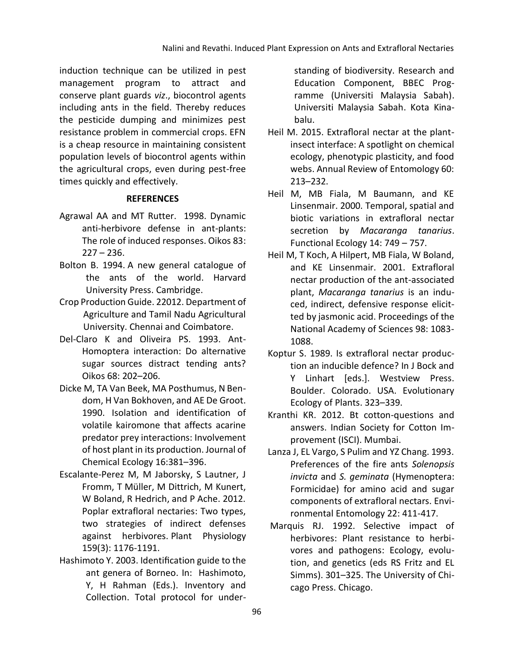induction technique can be utilized in pest management program to attract and conserve plant guards *viz*., biocontrol agents including ants in the field. Thereby reduces the pesticide dumping and minimizes pest resistance problem in commercial crops. EFN is a cheap resource in maintaining consistent population levels of biocontrol agents within the agricultural crops, even during pest-free times quickly and effectively.

## **REFERENCES**

- Agrawal AA and MT Rutter. 1998. Dynamic anti-herbivore defense in ant-plants: The role of induced responses. Oikos 83:  $227 - 236.$
- Bolton B. 1994. A new general catalogue of the ants of the world. Harvard University Press. Cambridge.
- Crop Production Guide. 22012. Department of Agriculture and Tamil Nadu Agricultural University. Chennai and Coimbatore.
- Del-Claro K and Oliveira PS. 1993. Ant-Homoptera interaction: Do alternative sugar sources distract tending ants? Oikos 68: 202–206.
- Dicke M, TA Van Beek, MA Posthumus, N Bendom, H Van Bokhoven, and AE De Groot. 1990. Isolation and identification of volatile kairomone that affects acarine predator prey interactions: Involvement of host plant in its production. Journal of Chemical Ecology 16:381–396.
- Escalante-Perez M, M Jaborsky, S Lautner, J Fromm, T Müller, M Dittrich, M Kunert, W Boland, R Hedrich, and P Ache. 2012. Poplar extrafloral nectaries: Two types, two strategies of indirect defenses against herbivores. Plant Physiology 159(3): 1176-1191.
- Hashimoto Y. 2003. Identification guide to the ant genera of Borneo. In: Hashimoto, Y, H Rahman (Eds.). Inventory and Collection. Total protocol for under-

standing of biodiversity. Research and Education Component, BBEC Programme (Universiti Malaysia Sabah). Universiti Malaysia Sabah. Kota Kinabalu.

- Heil M. 2015. Extrafloral nectar at the plantinsect interface: A spotlight on chemical ecology, phenotypic plasticity, and food webs. Annual Review of Entomology 60: 213–232.
- Heil M, MB Fiala, M Baumann, and KE Linsenmair. 2000. Temporal, spatial and biotic variations in extrafloral nectar secretion by *Macaranga tanarius*. Functional Ecology 14: 749 – 757.
- Heil M, T Koch, A Hilpert, MB Fiala, W Boland, and KE Linsenmair. 2001. Extrafloral nectar production of the ant-associated plant, *Macaranga tanarius* is an induced, indirect, defensive response elicitted by jasmonic acid. Proceedings of the National Academy of Sciences 98: 1083- 1088.
- Koptur S. 1989. Is extrafloral nectar production an inducible defence? In J Bock and Y Linhart [eds.]. Westview Press. Boulder. Colorado. USA. Evolutionary Ecology of Plants. 323–339.
- Kranthi KR. 2012. Bt cotton-questions and answers. Indian Society for Cotton Improvement (ISCI). Mumbai.
- Lanza J, EL Vargo, S Pulim and YZ Chang. 1993. Preferences of the fire ants *Solenopsis invicta* and *S. geminata* (Hymenoptera: Formicidae) for amino acid and sugar components of extrafloral nectars. Environmental Entomology 22: 411-417.
- Marquis RJ. 1992. Selective impact of herbivores: Plant resistance to herbivores and pathogens: Ecology, evolution, and genetics (eds RS Fritz and EL Simms). 301–325. The University of Chicago Press. Chicago.